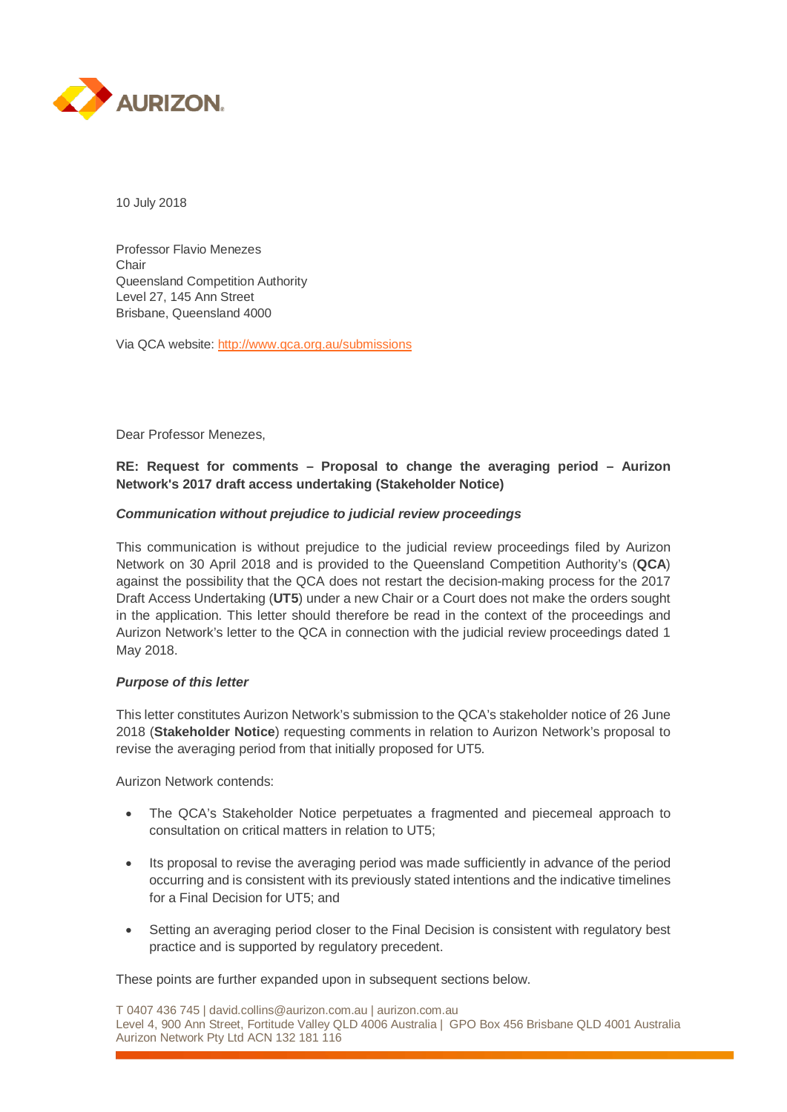

10 July 2018

Professor Flavio Menezes Chair Queensland Competition Authority Level 27, 145 Ann Street Brisbane, Queensland 4000

Via QCA website:<http://www.qca.org.au/submissions>

Dear Professor Menezes,

### **RE: Request for comments – Proposal to change the averaging period – Aurizon Network's 2017 draft access undertaking (Stakeholder Notice)**

#### *Communication without prejudice to judicial review proceedings*

This communication is without prejudice to the judicial review proceedings filed by Aurizon Network on 30 April 2018 and is provided to the Queensland Competition Authority's (**QCA**) against the possibility that the QCA does not restart the decision-making process for the 2017 Draft Access Undertaking (**UT5**) under a new Chair or a Court does not make the orders sought in the application. This letter should therefore be read in the context of the proceedings and Aurizon Network's letter to the QCA in connection with the judicial review proceedings dated 1 May 2018.

#### *Purpose of this letter*

This letter constitutes Aurizon Network's submission to the QCA's stakeholder notice of 26 June 2018 (**Stakeholder Notice**) requesting comments in relation to Aurizon Network's proposal to revise the averaging period from that initially proposed for UT5.

Aurizon Network contends:

- The QCA's Stakeholder Notice perpetuates a fragmented and piecemeal approach to consultation on critical matters in relation to UT5;
- Its proposal to revise the averaging period was made sufficiently in advance of the period occurring and is consistent with its previously stated intentions and the indicative timelines for a Final Decision for UT5; and
- Setting an averaging period closer to the Final Decision is consistent with regulatory best practice and is supported by regulatory precedent.

These points are further expanded upon in subsequent sections below.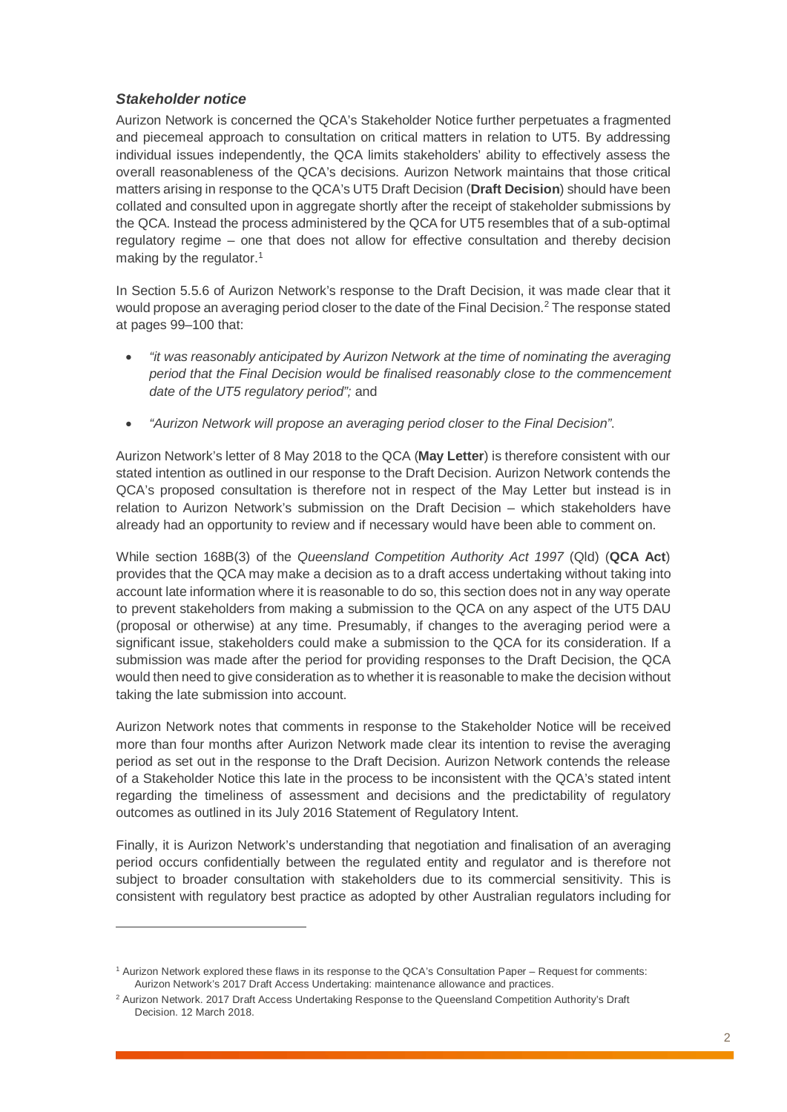## *Stakeholder notice*

 $\overline{a}$ 

Aurizon Network is concerned the QCA's Stakeholder Notice further perpetuates a fragmented and piecemeal approach to consultation on critical matters in relation to UT5. By addressing individual issues independently, the QCA limits stakeholders' ability to effectively assess the overall reasonableness of the QCA's decisions. Aurizon Network maintains that those critical matters arising in response to the QCA's UT5 Draft Decision (**Draft Decision**) should have been collated and consulted upon in aggregate shortly after the receipt of stakeholder submissions by the QCA. Instead the process administered by the QCA for UT5 resembles that of a sub-optimal regulatory regime – one that does not allow for effective consultation and thereby decision making by the regulator.<sup>[1](#page-1-0)</sup>

In Section 5.5.6 of Aurizon Network's response to the Draft Decision, it was made clear that it would propose an averaging period closer to the date of the Final Decision. [2](#page-1-1) The response stated at pages 99–100 that:

- *"it was reasonably anticipated by Aurizon Network at the time of nominating the averaging period that the Final Decision would be finalised reasonably close to the commencement date of the UT5 regulatory period";* and
- *"Aurizon Network will propose an averaging period closer to the Final Decision"*.

Aurizon Network's letter of 8 May 2018 to the QCA (**May Letter**) is therefore consistent with our stated intention as outlined in our response to the Draft Decision. Aurizon Network contends the QCA's proposed consultation is therefore not in respect of the May Letter but instead is in relation to Aurizon Network's submission on the Draft Decision – which stakeholders have already had an opportunity to review and if necessary would have been able to comment on.

While section 168B(3) of the *Queensland Competition Authority Act 1997* (Qld) (**QCA Act**) provides that the QCA may make a decision as to a draft access undertaking without taking into account late information where it is reasonable to do so, this section does not in any way operate to prevent stakeholders from making a submission to the QCA on any aspect of the UT5 DAU (proposal or otherwise) at any time. Presumably, if changes to the averaging period were a significant issue, stakeholders could make a submission to the QCA for its consideration. If a submission was made after the period for providing responses to the Draft Decision, the QCA would then need to give consideration as to whether it is reasonable to make the decision without taking the late submission into account.

Aurizon Network notes that comments in response to the Stakeholder Notice will be received more than four months after Aurizon Network made clear its intention to revise the averaging period as set out in the response to the Draft Decision. Aurizon Network contends the release of a Stakeholder Notice this late in the process to be inconsistent with the QCA's stated intent regarding the timeliness of assessment and decisions and the predictability of regulatory outcomes as outlined in its July 2016 Statement of Regulatory Intent.

Finally, it is Aurizon Network's understanding that negotiation and finalisation of an averaging period occurs confidentially between the regulated entity and regulator and is therefore not subject to broader consultation with stakeholders due to its commercial sensitivity. This is consistent with regulatory best practice as adopted by other Australian regulators including for

<span id="page-1-0"></span><sup>1</sup> Aurizon Network explored these flaws in its response to the QCA's Consultation Paper – Request for comments: Aurizon Network's 2017 Draft Access Undertaking: maintenance allowance and practices.

<span id="page-1-1"></span><sup>&</sup>lt;sup>2</sup> Aurizon Network. 2017 Draft Access Undertaking Response to the Queensland Competition Authority's Draft Decision. 12 March 2018.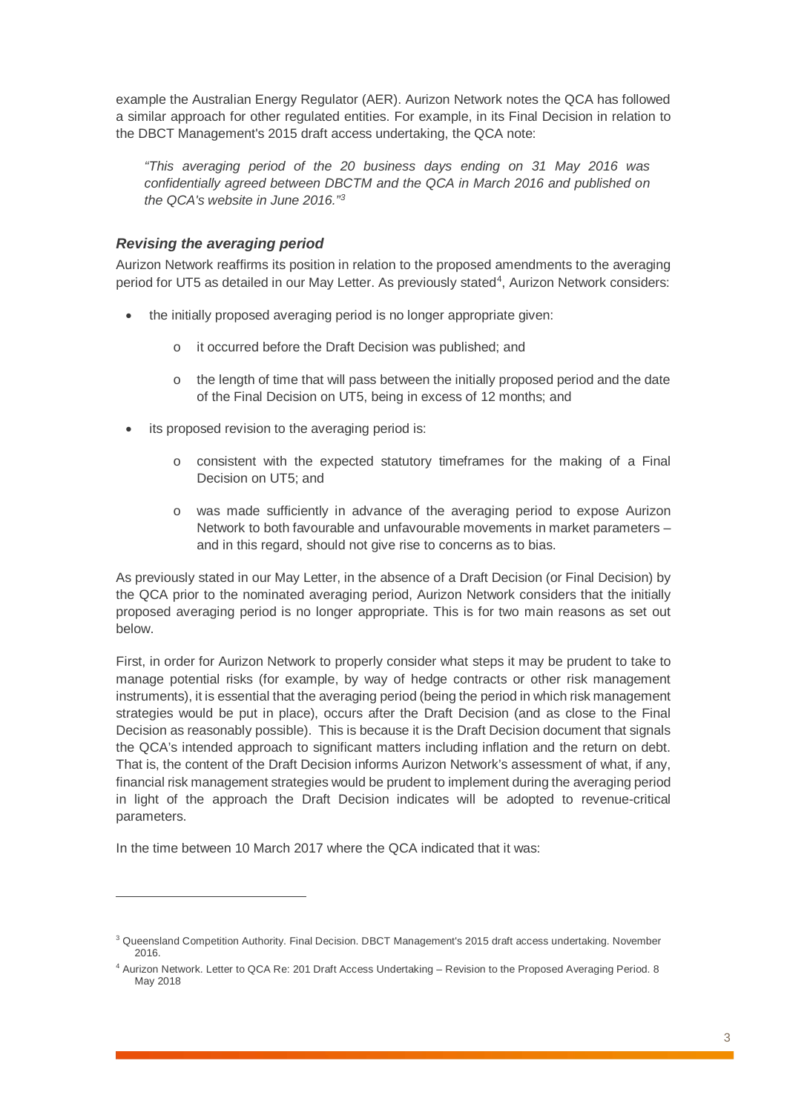example the Australian Energy Regulator (AER). Aurizon Network notes the QCA has followed a similar approach for other regulated entities. For example, in its Final Decision in relation to the DBCT Management's 2015 draft access undertaking, the QCA note:

*"This averaging period of the 20 business days ending on 31 May 2016 was confidentially agreed between DBCTM and the QCA in March 2016 and published on the QCA's website in June 2016." [3](#page-2-0)*

# *Revising the averaging period*

Aurizon Network reaffirms its position in relation to the proposed amendments to the averaging period for UT5 as detailed in our May Letter. As previously stated<sup>4</sup>, Aurizon Network considers:

- the initially proposed averaging period is no longer appropriate given:
	- o it occurred before the Draft Decision was published; and
	- $\circ$  the length of time that will pass between the initially proposed period and the date of the Final Decision on UT5, being in excess of 12 months; and
- its proposed revision to the averaging period is:
	- o consistent with the expected statutory timeframes for the making of a Final Decision on UT5; and
	- o was made sufficiently in advance of the averaging period to expose Aurizon Network to both favourable and unfavourable movements in market parameters – and in this regard, should not give rise to concerns as to bias.

As previously stated in our May Letter, in the absence of a Draft Decision (or Final Decision) by the QCA prior to the nominated averaging period, Aurizon Network considers that the initially proposed averaging period is no longer appropriate. This is for two main reasons as set out below.

First, in order for Aurizon Network to properly consider what steps it may be prudent to take to manage potential risks (for example, by way of hedge contracts or other risk management instruments), it is essential that the averaging period (being the period in which risk management strategies would be put in place), occurs after the Draft Decision (and as close to the Final Decision as reasonably possible). This is because it is the Draft Decision document that signals the QCA's intended approach to significant matters including inflation and the return on debt. That is, the content of the Draft Decision informs Aurizon Network's assessment of what, if any, financial risk management strategies would be prudent to implement during the averaging period in light of the approach the Draft Decision indicates will be adopted to revenue-critical parameters.

In the time between 10 March 2017 where the QCA indicated that it was:

 $\overline{a}$ 

<span id="page-2-0"></span><sup>&</sup>lt;sup>3</sup> Queensland Competition Authority. Final Decision. DBCT Management's 2015 draft access undertaking. November 2016.

<span id="page-2-1"></span><sup>4</sup> Aurizon Network. Letter to QCA Re: 201 Draft Access Undertaking – Revision to the Proposed Averaging Period. 8 May 2018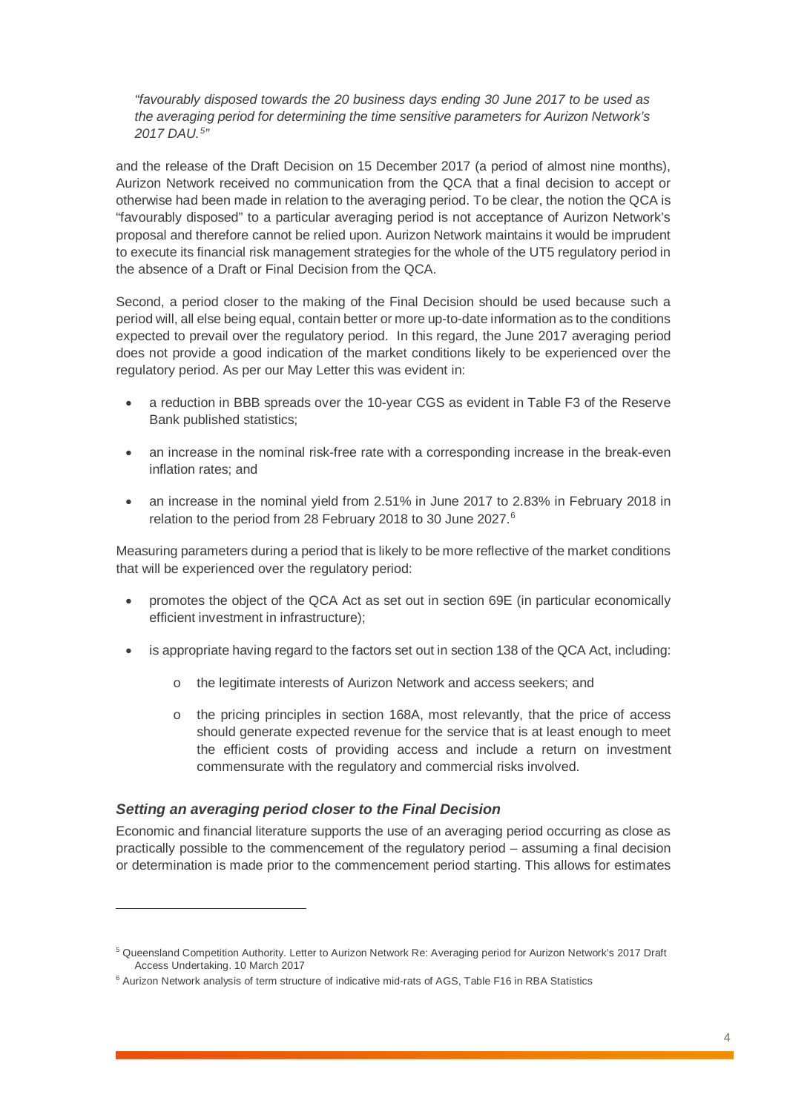*"favourably disposed towards the 20 business days ending 30 June 2017 to be used as the averaging period for determining the time sensitive parameters for Aurizon Network's 2017 DAU. [5](#page-3-0)"*

and the release of the Draft Decision on 15 December 2017 (a period of almost nine months), Aurizon Network received no communication from the QCA that a final decision to accept or otherwise had been made in relation to the averaging period. To be clear, the notion the QCA is "favourably disposed" to a particular averaging period is not acceptance of Aurizon Network's proposal and therefore cannot be relied upon. Aurizon Network maintains it would be imprudent to execute its financial risk management strategies for the whole of the UT5 regulatory period in the absence of a Draft or Final Decision from the QCA.

Second, a period closer to the making of the Final Decision should be used because such a period will, all else being equal, contain better or more up-to-date information as to the conditions expected to prevail over the regulatory period. In this regard, the June 2017 averaging period does not provide a good indication of the market conditions likely to be experienced over the regulatory period. As per our May Letter this was evident in:

- a reduction in BBB spreads over the 10-year CGS as evident in Table F3 of the Reserve Bank published statistics;
- an increase in the nominal risk-free rate with a corresponding increase in the break-even inflation rates; and
- an increase in the nominal yield from 2.51% in June 2017 to 2.83% in February 2018 in relation to the period from 28 February 2018 to 30 June 2027. [6](#page-3-1)

Measuring parameters during a period that is likely to be more reflective of the market conditions that will be experienced over the regulatory period:

- promotes the object of the QCA Act as set out in section 69E (in particular economically efficient investment in infrastructure);
- is appropriate having regard to the factors set out in section 138 of the QCA Act, including:
	- o the legitimate interests of Aurizon Network and access seekers; and
	- o the pricing principles in section 168A, most relevantly, that the price of access should generate expected revenue for the service that is at least enough to meet the efficient costs of providing access and include a return on investment commensurate with the regulatory and commercial risks involved.

## *Setting an averaging period closer to the Final Decision*

 $\overline{a}$ 

Economic and financial literature supports the use of an averaging period occurring as close as practically possible to the commencement of the regulatory period – assuming a final decision or determination is made prior to the commencement period starting. This allows for estimates

<span id="page-3-0"></span><sup>5</sup> Queensland Competition Authority. Letter to Aurizon Network Re: Averaging period for Aurizon Network's 2017 Draft Access Undertaking. 10 March 2017

<span id="page-3-1"></span><sup>6</sup> Aurizon Network analysis of term structure of indicative mid-rats of AGS, Table F16 in RBA Statistics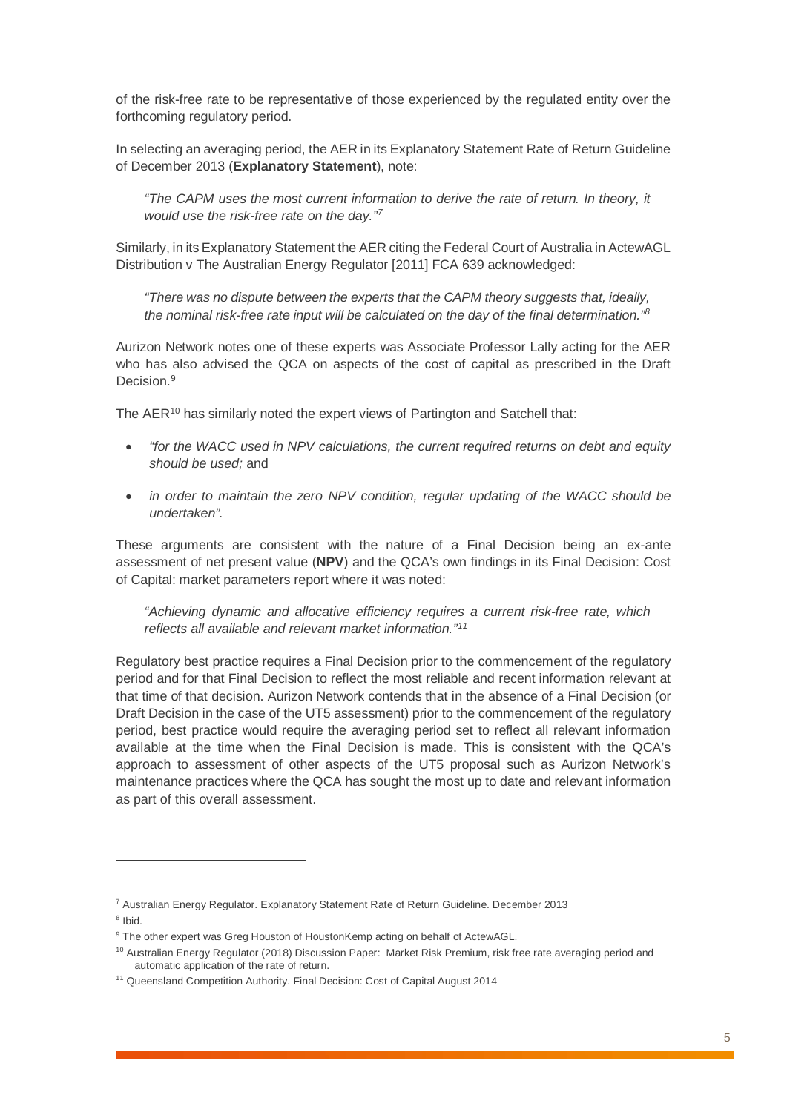of the risk-free rate to be representative of those experienced by the regulated entity over the forthcoming regulatory period.

In selecting an averaging period, the AER in its Explanatory Statement Rate of Return Guideline of December 2013 (**Explanatory Statement**), note:

*"The CAPM uses the most current information to derive the rate of return. In theory, it would use the risk-free rate on the day."[7](#page-4-0)*

Similarly, in its Explanatory Statement the AER citing the Federal Court of Australia in ActewAGL Distribution v The Australian Energy Regulator [2011] FCA 639 acknowledged:

*"There was no dispute between the experts that the CAPM theory suggests that, ideally, the nominal risk-free rate input will be calculated on the day of the final determination.["8](#page-4-1)*

Aurizon Network notes one of these experts was Associate Professor Lally acting for the AER who has also advised the QCA on aspects of the cost of capital as prescribed in the Draft Decision. [9](#page-4-2)

The AER<sup>[10](#page-4-3)</sup> has similarly noted the expert views of Partington and Satchell that:

- *"for the WACC used in NPV calculations, the current required returns on debt and equity should be used;* and
- *in order to maintain the zero NPV condition, regular updating of the WACC should be undertaken".*

These arguments are consistent with the nature of a Final Decision being an ex-ante assessment of net present value (**NPV**) and the QCA's own findings in its Final Decision: Cost of Capital: market parameters report where it was noted:

*"Achieving dynamic and allocative efficiency requires a current risk-free rate, which reflects all available and relevant market information."[11](#page-4-4)*

Regulatory best practice requires a Final Decision prior to the commencement of the regulatory period and for that Final Decision to reflect the most reliable and recent information relevant at that time of that decision. Aurizon Network contends that in the absence of a Final Decision (or Draft Decision in the case of the UT5 assessment) prior to the commencement of the regulatory period, best practice would require the averaging period set to reflect all relevant information available at the time when the Final Decision is made. This is consistent with the QCA's approach to assessment of other aspects of the UT5 proposal such as Aurizon Network's maintenance practices where the QCA has sought the most up to date and relevant information as part of this overall assessment.

 $\overline{a}$ 

<span id="page-4-0"></span><sup>7</sup> Australian Energy Regulator. Explanatory Statement Rate of Return Guideline. December 2013

<span id="page-4-1"></span><sup>8</sup> Ibid.

<span id="page-4-2"></span><sup>&</sup>lt;sup>9</sup> The other expert was Greg Houston of HoustonKemp acting on behalf of ActewAGL.

<span id="page-4-3"></span><sup>&</sup>lt;sup>10</sup> Australian Energy Regulator (2018) Discussion Paper: Market Risk Premium, risk free rate averaging period and automatic application of the rate of return.

<span id="page-4-4"></span><sup>&</sup>lt;sup>11</sup> Queensland Competition Authority. Final Decision: Cost of Capital August 2014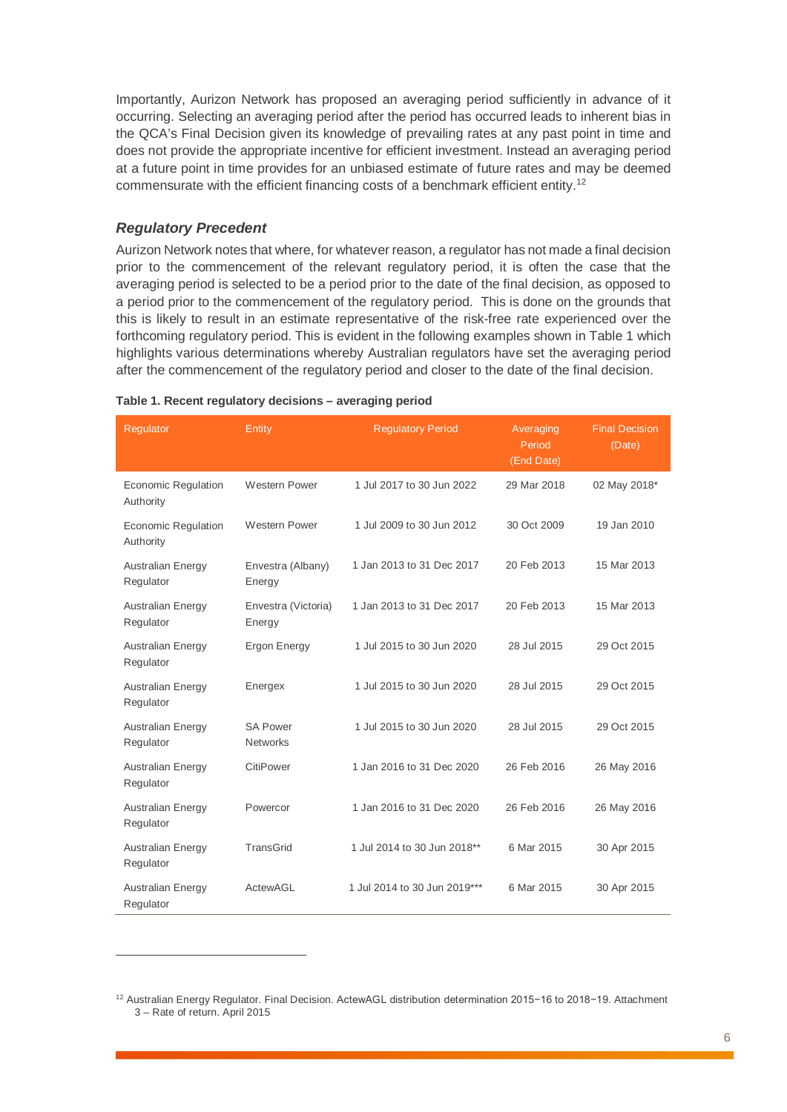Importantly, Aurizon Network has proposed an averaging period sufficiently in advance of it occurring. Selecting an averaging period after the period has occurred leads to inherent bias in the QCA's Final Decision given its knowledge of prevailing rates at any past point in time and does not provide the appropriate incentive for efficient investment. Instead an averaging period at a future point in time provides for an unbiased estimate of future rates and may be deemed commensurate with the efficient financing costs of a benchmark efficient entity[.12](#page-5-1)

#### *Regulatory Precedent*

 $\overline{a}$ 

Aurizon Network notes that where, for whatever reason, a regulator has not made a final decision prior to the commencement of the relevant regulatory period, it is often the case that the averaging period is selected to be a period prior to the date of the final decision, as opposed to a period prior to the commencement of the regulatory period. This is done on the grounds that this is likely to result in an estimate representative of the risk-free rate experienced over the forthcoming regulatory period. This is evident in the following examples shown in [Table 1](#page-5-0) which highlights various determinations whereby Australian regulators have set the averaging period after the commencement of the regulatory period and closer to the date of the final decision.

| Regulator                               | Entity                             | <b>Regulatory Period</b>     | Averaging<br>Period<br>(End Date) | <b>Final Decision</b><br>(Date) |
|-----------------------------------------|------------------------------------|------------------------------|-----------------------------------|---------------------------------|
| <b>Economic Regulation</b><br>Authority | <b>Western Power</b>               | 1 Jul 2017 to 30 Jun 2022    | 29 Mar 2018                       | 02 May 2018*                    |
| <b>Economic Regulation</b><br>Authority | <b>Western Power</b>               | 1 Jul 2009 to 30 Jun 2012    | 30 Oct 2009                       | 19 Jan 2010                     |
| <b>Australian Energy</b><br>Regulator   | Envestra (Albany)<br>Energy        | 1 Jan 2013 to 31 Dec 2017    | 20 Feb 2013                       | 15 Mar 2013                     |
| <b>Australian Energy</b><br>Regulator   | Envestra (Victoria)<br>Energy      | 1 Jan 2013 to 31 Dec 2017    | 20 Feb 2013                       | 15 Mar 2013                     |
| <b>Australian Energy</b><br>Regulator   | Ergon Energy                       | 1 Jul 2015 to 30 Jun 2020    | 28 Jul 2015                       | 29 Oct 2015                     |
| <b>Australian Energy</b><br>Regulator   | Energex                            | 1 Jul 2015 to 30 Jun 2020    | 28 Jul 2015                       | 29 Oct 2015                     |
| <b>Australian Energy</b><br>Regulator   | <b>SA Power</b><br><b>Networks</b> | 1 Jul 2015 to 30 Jun 2020    | 28 Jul 2015                       | 29 Oct 2015                     |
| <b>Australian Energy</b><br>Regulator   | CitiPower                          | 1 Jan 2016 to 31 Dec 2020    | 26 Feb 2016                       | 26 May 2016                     |
| <b>Australian Energy</b><br>Regulator   | Powercor                           | 1 Jan 2016 to 31 Dec 2020    | 26 Feb 2016                       | 26 May 2016                     |
| <b>Australian Energy</b><br>Regulator   | <b>TransGrid</b>                   | 1 Jul 2014 to 30 Jun 2018**  | 6 Mar 2015                        | 30 Apr 2015                     |
| Australian Energy<br>Regulator          | ActewAGL                           | 1 Jul 2014 to 30 Jun 2019*** | 6 Mar 2015                        | 30 Apr 2015                     |

#### <span id="page-5-0"></span>**Table 1. Recent regulatory decisions – averaging period**

<span id="page-5-1"></span><sup>12</sup> Australian Energy Regulator. Final Decision. ActewAGL distribution determination 2015−16 to 2018−19. Attachment 3 – Rate of return. April 2015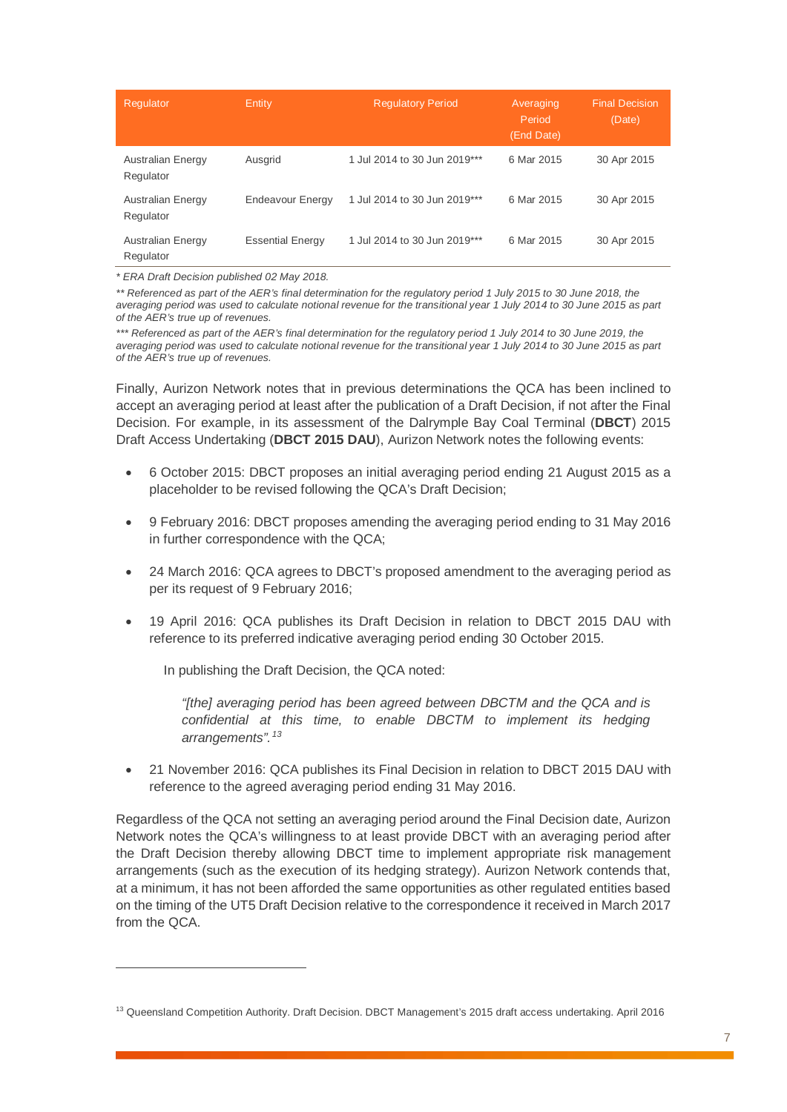| Regulator                             | Entity                  | <b>Regulatory Period</b>     | Averaging<br>Period<br>(End Date) | <b>Final Decision</b><br>(Date) |
|---------------------------------------|-------------------------|------------------------------|-----------------------------------|---------------------------------|
| <b>Australian Energy</b><br>Regulator | Ausgrid                 | 1 Jul 2014 to 30 Jun 2019*** | 6 Mar 2015                        | 30 Apr 2015                     |
| Australian Energy<br>Regulator        | Endeavour Energy        | 1 Jul 2014 to 30 Jun 2019*** | 6 Mar 2015                        | 30 Apr 2015                     |
| Australian Energy<br>Regulator        | <b>Essential Energy</b> | 1 Jul 2014 to 30 Jun 2019*** | 6 Mar 2015                        | 30 Apr 2015                     |

*\* ERA Draft Decision published 02 May 2018.* 

 $\overline{a}$ 

\*\* Referenced as part of the AER's final determination for the regulatory period 1 July 2015 to 30 June 2018, the *averaging period was used to calculate notional revenue for the transitional year 1 July 2014 to 30 June 2015 as part of the AER's true up of revenues.* 

\*\*\* Referenced as part of the AER's final determination for the regulatory period 1 July 2014 to 30 June 2019, the *averaging period was used to calculate notional revenue for the transitional year 1 July 2014 to 30 June 2015 as part of the AER's true up of revenues.* 

Finally, Aurizon Network notes that in previous determinations the QCA has been inclined to accept an averaging period at least after the publication of a Draft Decision, if not after the Final Decision. For example, in its assessment of the Dalrymple Bay Coal Terminal (**DBCT**) 2015 Draft Access Undertaking (**DBCT 2015 DAU**), Aurizon Network notes the following events:

- 6 October 2015: DBCT proposes an initial averaging period ending 21 August 2015 as a placeholder to be revised following the QCA's Draft Decision;
- 9 February 2016: DBCT proposes amending the averaging period ending to 31 May 2016 in further correspondence with the QCA;
- 24 March 2016: QCA agrees to DBCT's proposed amendment to the averaging period as per its request of 9 February 2016;
- 19 April 2016: QCA publishes its Draft Decision in relation to DBCT 2015 DAU with reference to its preferred indicative averaging period ending 30 October 2015.

In publishing the Draft Decision, the QCA noted:

*"[the] averaging period has been agreed between DBCTM and the QCA and is confidential at this time, to enable DBCTM to implement its hedging arrangements".[13](#page-6-0)*

• 21 November 2016: QCA publishes its Final Decision in relation to DBCT 2015 DAU with reference to the agreed averaging period ending 31 May 2016.

Regardless of the QCA not setting an averaging period around the Final Decision date, Aurizon Network notes the QCA's willingness to at least provide DBCT with an averaging period after the Draft Decision thereby allowing DBCT time to implement appropriate risk management arrangements (such as the execution of its hedging strategy). Aurizon Network contends that, at a minimum, it has not been afforded the same opportunities as other regulated entities based on the timing of the UT5 Draft Decision relative to the correspondence it received in March 2017 from the QCA.

<span id="page-6-0"></span><sup>&</sup>lt;sup>13</sup> Queensland Competition Authority. Draft Decision. DBCT Management's 2015 draft access undertaking. April 2016